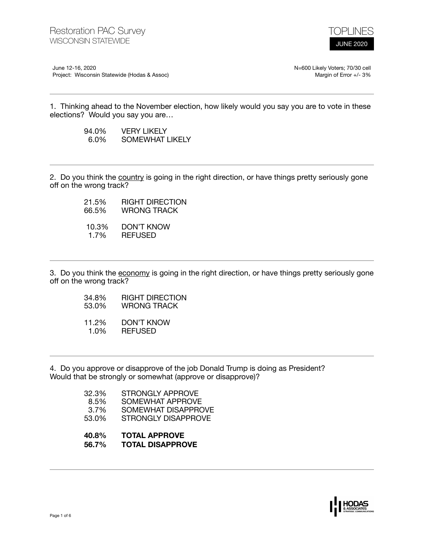

June 12-16, 2020 Project: Wisconsin Statewide (Hodas & Assoc) N=600 Likely Voters; 70/30 cell Margin of Error +/- 3%

1. Thinking ahead to the November election, how likely would you say you are to vote in these elections? Would you say you are…

| 94.0%   | <b>VERY LIKELY</b> |
|---------|--------------------|
| $6.0\%$ | SOMEWHAT LIKELY    |

2. Do you think the country is going in the right direction, or have things pretty seriously gone off on the wrong track?

| 21.5% | RIGHT DIRECTION |
|-------|-----------------|
| 66.5% | WRONG TRACK     |
| 10.3% | DON'T KNOW      |
| 1.7%  | <b>REFUSED</b>  |

3. Do you think the economy is going in the right direction, or have things pretty seriously gone off on the wrong track?

- 34.8% RIGHT DIRECTION
- 53.0% WRONG TRACK
- 11.2% DON'T KNOW 1.0% REFUSED

4. Do you approve or disapprove of the job Donald Trump is doing as President? Would that be strongly or somewhat (approve or disapprove)?

| 32.3% | STRONGLY APPROVE    |
|-------|---------------------|
| 8.5%  | SOMEWHAT APPROVE    |
| 3.7%  | SOMEWHAT DISAPPROVE |
| 53.0% | STRONGLY DISAPPROVE |
|       |                     |

- **40.8% TOTAL APPROVE**
- **56.7% TOTAL DISAPPROVE**

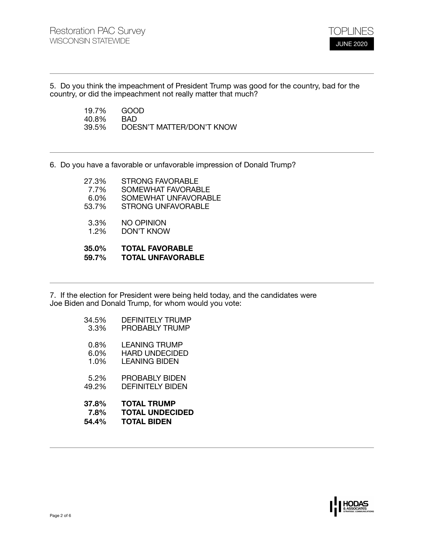

5. Do you think the impeachment of President Trump was good for the country, bad for the country, or did the impeachment not really matter that much?

> 19.7% GOOD<br>40.8% BAD 40.8%<br>39.5% 39.5% DOESN'T MATTER/DON'T KNOW

6. Do you have a favorable or unfavorable impression of Donald Trump?

| 35.0%<br>59.7% | <b>TOTAL FAVORABLE</b><br><b>TOTAL UNFAVORABLE</b> |
|----------------|----------------------------------------------------|
| 3.3%<br>1.2%   | <b>NO OPINION</b><br>DON'T KNOW                    |
| 53.7%          | <b>STRONG UNFAVORABLE</b>                          |
| 6.0%           | SOMEWHAT UNFAVORABLE                               |
| 7.7%           | SOMEWHAT FAVORABLE                                 |
| 27.3%          | <b>STRONG FAVORABLE</b>                            |

7. If the election for President were being held today, and the candidates were Joe Biden and Donald Trump, for whom would you vote:

| 37.8%   | <b>TOTAL TRUMP</b>      |
|---------|-------------------------|
| 7.8%    | <b>TOTAL UNDECIDED</b>  |
| 54.4%   | <b>TOTAL BIDEN</b>      |
| 5.2%    | PROBABLY BIDEN          |
| 49.2%   | DEFINITEI Y BIDEN       |
| $0.8\%$ | <b>LEANING TRUMP</b>    |
| $6.0\%$ | <b>HARD UNDECIDED</b>   |
| 1.0%    | I FANING BIDFN          |
| 34.5%   | <b>DEFINITELY TRUMP</b> |
| 3.3%    | <b>PROBABLY TRUMP</b>   |

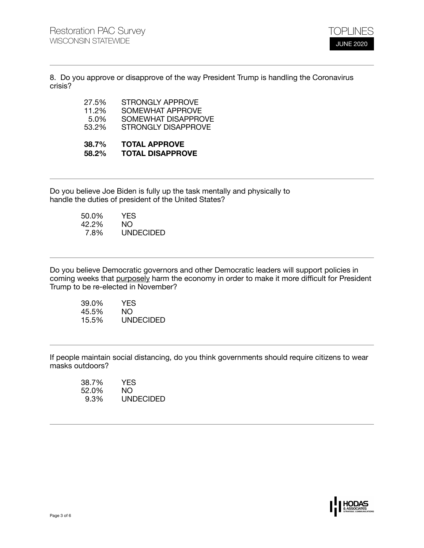

8. Do you approve or disapprove of the way President Trump is handling the Coronavirus crisis?

| 88 50 L | FATIL IBBBAVE           |
|---------|-------------------------|
| 53.2%   | STRONGLY DISAPPROVE     |
| 5.0%    | SOMEWHAT DISAPPROVE     |
| 11.2%   | SOMEWHAT APPROVE        |
| 27.5%   | <b>STRONGLY APPROVE</b> |

## **38.7% TOTAL APPROVE 58.2% TOTAL DISAPPROVE**

Do you believe Joe Biden is fully up the task mentally and physically to handle the duties of president of the United States?

| 50.0% | YES              |
|-------|------------------|
| 42.2% | NO.              |
| 7.8%  | <b>UNDECIDED</b> |

Do you believe Democratic governors and other Democratic leaders will support policies in coming weeks that purposely harm the economy in order to make it more difficult for President Trump to be re-elected in November?

| 39.0% | YES              |
|-------|------------------|
| 45.5% | NO.              |
| 15.5% | <b>UNDECIDED</b> |

If people maintain social distancing, do you think governments should require citizens to wear masks outdoors?

| 38.7% | YES              |
|-------|------------------|
| 52.0% | NO.              |
| 9.3%  | <b>UNDECIDED</b> |

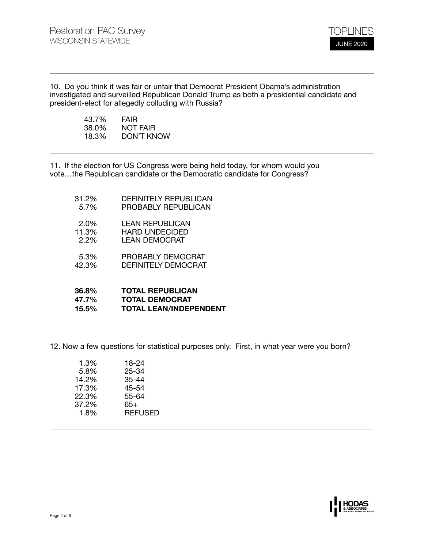

10. Do you think it was fair or unfair that Democrat President Obama's administration investigated and surveilled Republican Donald Trump as both a presidential candidate and president-elect for allegedly colluding with Russia?

| 43.7% | <b>FAIR</b> |
|-------|-------------|
| 38.0% | NOT FAIR    |
| 18.3% | DON'T KNOW  |

11. If the election for US Congress were being held today, for whom would you vote…the Republican candidate or the Democratic candidate for Congress?

31.2% DEFINITELY REPUBLICAN 5.7% PROBABLY REPUBLICAN 2.0% LEAN REPUBLICAN 11.3% HARD UNDECIDED<br>2.2% LEAN DEMOCRAT LEAN DEMOCRAT 5.3% PROBABLY DEMOCRAT 42.3% DEFINITELY DEMOCRAT **36.8% TOTAL REPUBLICAN 47.7% TOTAL DEMOCRAT 15.5% TOTAL LEAN/INDEPENDENT** 

12. Now a few questions for statistical purposes only. First, in what year were you born?

| 1.3%  | 18-24          |
|-------|----------------|
| 5.8%  | 25-34          |
| 14.2% | 35-44          |
| 17.3% | 45-54          |
| 22.3% | 55-64          |
| 37.2% | 65+            |
| 1.8%  | <b>REFUSED</b> |
|       |                |

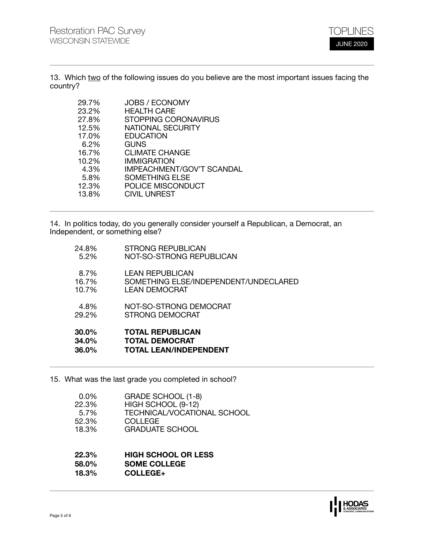

13. Which two of the following issues do you believe are the most important issues facing the country?

| <b>JOBS / ECONOMY</b>            |
|----------------------------------|
| <b>HEALTH CARE</b>               |
| <b>STOPPING CORONAVIRUS</b>      |
| <b>NATIONAL SECURITY</b>         |
| <b>EDUCATION</b>                 |
| <b>GUNS</b>                      |
| <b>CLIMATE CHANGE</b>            |
| IMMIGRATION                      |
| <b>IMPEACHMENT/GOV'T SCANDAL</b> |
| <b>SOMETHING ELSE</b>            |
| POLICE MISCONDUCT                |
| <b>CIVIL UNREST</b>              |
|                                  |

14. In politics today, do you generally consider yourself a Republican, a Democrat, an Independent, or something else?

| 30.0%    | <b>TOTAL REPUBLICAN</b>               |
|----------|---------------------------------------|
| 34.0%    | <b>TOTAL DEMOCRAT</b>                 |
| $36.0\%$ | <b>TOTAL LEAN/INDEPENDENT</b>         |
| 4.8%     | NOT-SO-STRONG DEMOCRAT                |
| 29.2%    | STRONG DEMOCRAT                       |
| 8.7%     | <b>LEAN REPUBLICAN</b>                |
| 16.7%    | SOMETHING ELSE/INDEPENDENT/UNDECLARED |
| 10.7%    | LEAN DEMOCRAT                         |
| 24.8%    | <b>STRONG REPUBLICAN</b>              |
| 5.2%     | NOT-SO-STRONG REPUBLICAN              |

15. What was the last grade you completed in school?

| $0.0\%$ | GRADE SCHOOL (1-8)          |
|---------|-----------------------------|
| 22.3%   | HIGH SCHOOL (9-12)          |
| 5.7%    | TECHNICAL/VOCATIONAL SCHOOL |
| 52.3%   | COLLEGE                     |
| 18.3%   | <b>GRADUATE SCHOOL</b>      |
|         |                             |

## **22.3% HIGH SCHOOL OR LESS 58.0% SOME COLLEGE**

**18.3% COLLEGE+**